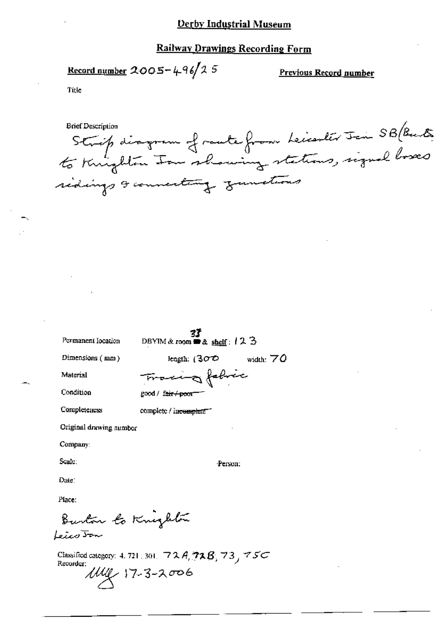## Derby Industrial Museum

#### **Railway Drawings Recording Form**

<u>Record number</u>  $2005 - 496/25$ 

Previous Record number

Title

Strip disgram of route from Leicenter Join SB (Burts **Brief Description** sidings & connecting zumetimes

Permanent Iocation

 $\frac{37}{22}$ <br>DBYIM & room  $\equiv$  & shelf: 12 3

Dimensions (mm)

length:  $(300)$ width:  $70$ 

Material

Condition

Tracing fabric good / fair / poor

Completeness

complete / incomplete"

Original drawing number

Company:

Scale:

Person:

Date:

Ріке:

Burton to Knighton Leico <del>Jo</del>n

Classified category: 4, 721, 301,  $72A$ ,  $72B$ ,  $73$ ,  $75C$ Recorder:  $100 \times 17 - 3 - 2006$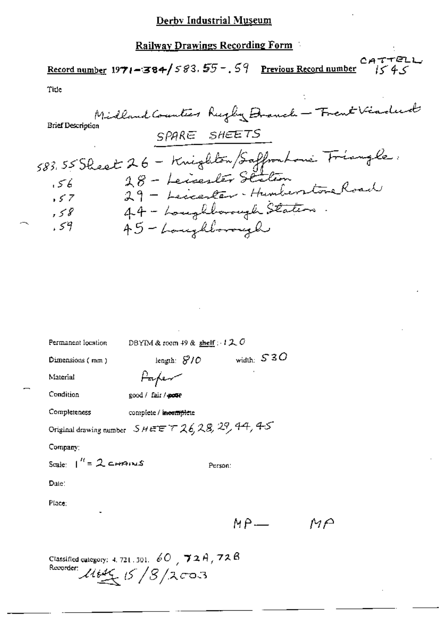# Railway Drawings Recording Form

## $CATTELL$ <br> $1545$ Record number  $1971 - 384$  /  $583.55 - 59$  Previous Record number Title

÷

| Permanent location                                                                                                   |                       | DBYIM & room 49 & shelf : $120$ |                            |  |
|----------------------------------------------------------------------------------------------------------------------|-----------------------|---------------------------------|----------------------------|--|
| Dimensions $(mn)$                                                                                                    |                       |                                 | length: $8/0$ width: $530$ |  |
| Material                                                                                                             | Parfer                |                                 |                            |  |
| Condition                                                                                                            | good / fair / pour    |                                 |                            |  |
| Completeness                                                                                                         | complete / incomplete |                                 |                            |  |
| Original drawing number $S$ HEET $726, 28, 29, 44, 45$                                                               |                       |                                 |                            |  |
| Company:                                                                                                             |                       |                                 |                            |  |
| Scale: $1'' = 2$ CHAINS                                                                                              |                       | Person:                         |                            |  |
| $\mathbf{Date}$ :                                                                                                    |                       |                                 |                            |  |
| Place:                                                                                                               |                       |                                 |                            |  |
|                                                                                                                      |                       |                                 | МР—                        |  |
| Classified category: 4, 721, 301, $\phi$ O <sub>,</sub> $\gamma$ 2 A <sub>,</sub> 72 B<br>Recorder: $11646/5/3/2003$ |                       |                                 |                            |  |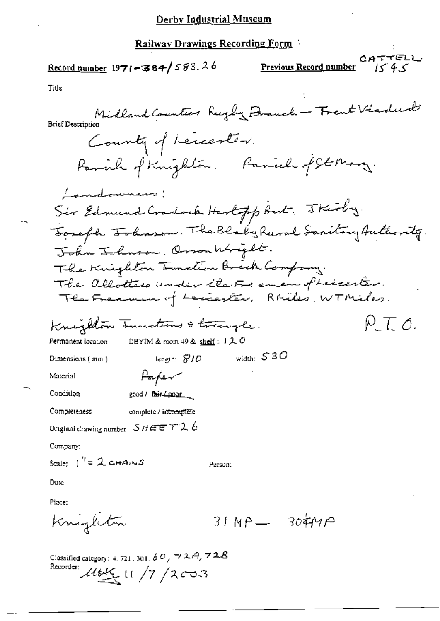### Derby Industrial Museum

#### Railway Drawings Recording Form

CATTELL Record number  $1971 - 384 / 583.26$ Previous Record number Title Midland Counter Regly Drauch - Trent Visdud **Brief Description** County of Leccenter. Parish of Knighton. Parish of St Mary. <u>Landownans</u>: Sir Edmund Cradock Hartopp But. Thirty. Toraph Tohnson. The Blaky Rural Sanitary Authority. John Johnson, Osson Wright. The Knighton Innation Brick Company. The allotters under the Framen of Leicester.<br>The Framm of Leccenter, Rhiles, WTMiles.  $\rho \tau c$ . Knighton Innections & traingle. DBYIM & room 49 & shelf: 120 Permanent location width:  $S3O$ length:  $S/O$ Dimensions (mm) Parfer Material Condition good / fair / poor complete / incomplete Completeness Original drawing number  $SHEET26$ Company: Scale:  $\int_0^{t} = 2 \cos \theta \cos \theta$ Person: Date: Place:  $31MP - 304MP$ Knighton Classified category: 4, 721, 301,  $\not\in O$ ,  $\neg$  2.A,  $\neg$  2.B Recorder:  $11/7/2003$